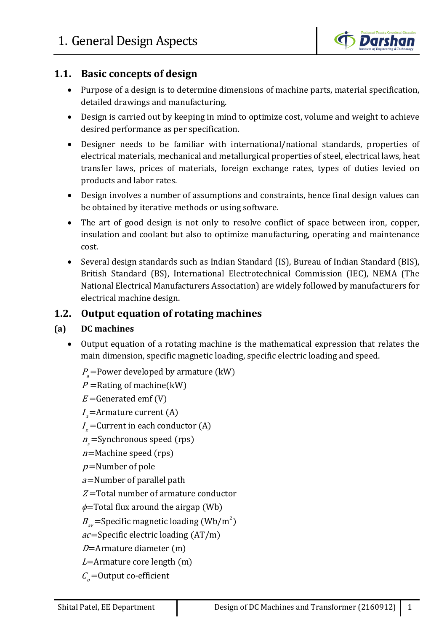

## **1.1. Basic concepts of design**

- Purpose of a design is to determine dimensions of machine parts, material specification, detailed drawings and manufacturing.
- Design is carried out by keeping in mind to optimize cost, volume and weight to achieve desired performance as per specification.
- Designer needs to be familiar with international/national standards, properties of electrical materials, mechanical and metallurgical properties of steel, electrical laws, heat transfer laws, prices of materials, foreign exchange rates, types of duties levied on products and labor rates.
- Design involves a number of assumptions and constraints, hence final design values can be obtained by iterative methods or using software.
- The art of good design is not only to resolve conflict of space between iron, copper, insulation and coolant but also to optimize manufacturing, operating and maintenance cost.
- Several design standards such as Indian Standard (IS), Bureau of Indian Standard (BIS), British Standard (BS), International Electrotechnical Commission (IEC), NEMA (The National Electrical Manufacturers Association) are widely followed by manufacturers for electrical machine design.

## **1.2. Output equation of rotating machines**

### **(a) DC machines**

- Output equation of a rotating machine is the mathematical expression that relates the main dimension, specific magnetic loading, specific electric loading and speed.
	- $P_{\scriptscriptstyle{g}}$ =Power developed by armature (kW)
	- $P$  =Rating of machine(kW)
	- $E\!=\!$ Generated emf (V)
	- $I_{a}$ =Armature current (A)
	- $I_z$ =Current in each conductor (A)
	- $n_{\rm s}$ =Synchronous speed (rps)
	- *n*=Machine speed (rps)
	- $p$ =Number of pole
	- $a$ =Number of parallel path
	- $Z$ =Total number of armature conductor
	- $\phi$ =Total flux around the airgap (Wb)
	- $B_{\text{av}}$ =Specific magnetic loading (Wb/m<sup>2</sup>)
	- $ac =$ Specific electric loading (AT/m)
	- *D*=Armature diameter (m)
	- $L$ =Armature core length (m)
	- $C_{\rho}$ =Output co-efficient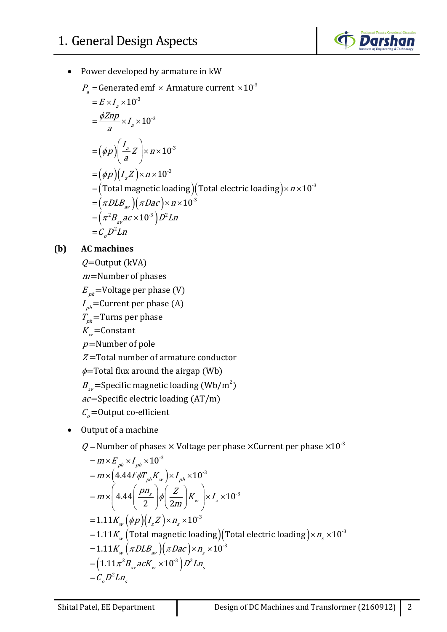

Power developed by armature in kW

$$
P_a = \text{generated emf} \times \text{Armature current} \times 10^{3}
$$
  
=  $E \times I_a \times 10^{3}$   
=  $\frac{\phi Z np}{a} \times I_a \times 10^{3}$   
=  $(\phi p) \left( \frac{I_a}{a} Z \right) \times n \times 10^{3}$   
=  $(\phi p) (I_z Z) \times n \times 10^{3}$   
= (Total magnetic loading) (Total electric loading)  $\times n \times 10^{3}$   
=  $(\pi D L B_{av}) (\pi D a c) \times n \times 10^{3}$   
=  $(\pi^2 B_{av} a c \times 10^{3}) D^2 L n$   
=  $C_o D^2 L n$ 

### **(b) AC machines**

 $Q=$ Output (kVA)

*m=*Number of phases

$$
E_{ph}
$$
=Voltage per phase (V)

=Current per phase (A)  $I_{ph}$ 

 $T_{ph}$ =Turns per phase

$$
K_{w} = \text{Constant}
$$

 $p$ =Number of pole

 $Z$ =Total number of armature conductor

$$
\phi
$$
=Total flux around the airgap (Wb)

 $B_{\text{av}}$ =Specific magnetic loading (Wb/m<sup>2</sup>)

*ac*=Specific electric loading  $(AT/m)$ 

 $C_{\rho}$ =Output co-efficient

• Output of a machine

Q = Number of phases  $\times$  Voltage per phase  $\times$ Current per phase  $\times 10^{-3}$ 

$$
= m \times E_{ph} \times I_{ph} \times 10^{-3}
$$
  
\n
$$
= m \times (4.44f \phi T_{ph} K_w) \times I_{ph} \times 10^{-3}
$$
  
\n
$$
= m \times \left( 4.44 \left( \frac{pn_s}{2} \right) \phi \left( \frac{Z}{2m} \right) K_w \right) \times I_z \times 10^{-3}
$$
  
\n
$$
= 1.11 K_w (\phi p) (I_z Z) \times n_s \times 10^{-3}
$$
  
\n
$$
= 1.11 K_w (\text{Total magnetic loading}) (\text{Total electric loading}) \times n_s \times 10^{-3}
$$
  
\n
$$
= 1.11 K_w (\pi D L B_{av}) (\pi D a c) \times n_s \times 10^{-3}
$$
  
\n
$$
= (1.11 \pi^2 B_{av} a c K_w \times 10^{-3}) D^2 L n_s
$$
  
\n
$$
= C_o D^2 L n_s
$$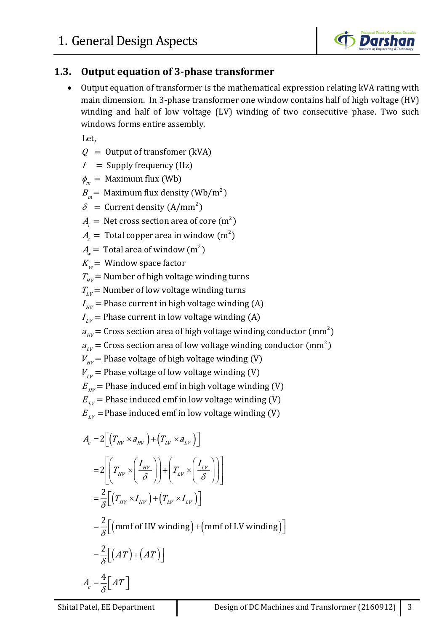

# **1.3. Output equation of 3-phase transformer**

 Output equation of transformer is the mathematical expression relating kVA rating with main dimension. In 3-phase transformer one window contains half of high voltage (HV) winding and half of low voltage (LV) winding of two consecutive phase. Two such windows forms entire assembly.

Let,

- $Q =$  Output of transfomer (kVA)
- $f =$  Supply frequency (Hz)
- $\phi_m$  = Maximum flux (Wb)
- $B_{\rm m}$ = Maximum flux density (Wb/m<sup>2</sup>)
- $\delta$  = Current density (A/mm<sup>2</sup>)
- $A_{i}$  = Net cross section area of core (m<sup>2</sup>)
- $A_{c}^{\phantom{\dag}}=\hbox{ Total copper area in window (m²)}$
- $A_{\!\scriptscriptstyle W}^{}$  = Total area of window (m $^2)$
- $K_{_W}^{}$ = Window space factor
- $T_{\mu\nu}$  = Number of high voltage winding turns
- $T_{\mu\nu}$  = Number of low voltage winding turns
- $I_{\scriptscriptstyle{HV}}$  = Phase current in high voltage winding (A)
- $I_{\scriptscriptstyle LV}^{}$  = Phase current in low voltage winding (A)

 $a_{\mu\nu}$  = Cross section area of high voltage winding conductor (mm<sup>2</sup>)

 $a_{\mu\nu}$  = Cross section area of low voltage winding conductor (mm<sup>2</sup>)

 $V_{\mu\nu}$  = Phase voltage of high voltage winding (V)

 $V_{\mu\nu}$  = Phase voltage of low voltage winding (V)

 $E_{_{HV}}$ = Phase induced emf in high voltage winding (V)

 $E_{_{LV}}^{}$  = Phase induced emf in low voltage winding (V)

 $E_{_{LV}}$  = Phase induced emf in low voltage winding (V)

$$
A_c = 2\Big[\Big(T_{HV} \times a_{HV}\Big) + \Big(T_{LV} \times a_{LV}\Big)\Big]
$$
  
\n
$$
= 2\Big[\Big(T_{HV} \times \Big(\frac{I_{HV}}{\delta}\Big)\Big) + \Big(T_{LV} \times \Big(\frac{I_{LV}}{\delta}\Big)\Big)\Big]
$$
  
\n
$$
= \frac{2}{\delta}\Big[\Big(T_{HV} \times I_{HV}\Big) + \Big(T_{LV} \times I_{LV}\Big)\Big]
$$
  
\n
$$
= \frac{2}{\delta}\Big[\Big(\text{mmf of HV winding}\Big) + \Big(\text{mmf of LV winding}\Big)\Big]
$$
  
\n
$$
= \frac{2}{\delta}\Big[\Big(AT\Big) + \Big(AT\Big)\Big]
$$
  
\n
$$
A_c = \frac{4}{\delta}\Big[AT\Big]
$$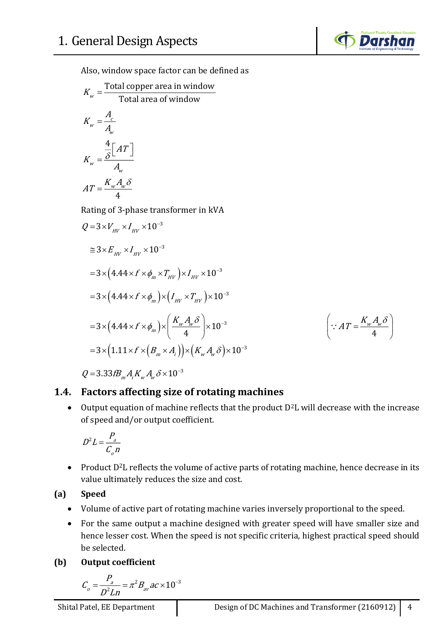

Also, window space factor can be defined as

$$
K_w = \frac{\text{Total copper area in window}}{\text{Total area of window}}
$$
  

$$
K_w = \frac{A_c}{A_w}
$$
  

$$
K_w = \frac{\frac{4}{\delta}[AT]}{A_w}
$$
  

$$
AT = \frac{K_w A_w \delta}{4}
$$

Rating of 3-phase transformer in kVA

$$
Q = 3 \times V_{HV} \times I_{HV} \times 10^{-3}
$$
  
\n
$$
\approx 3 \times E_{HV} \times I_{HV} \times 10^{-3}
$$
  
\n
$$
= 3 \times (4.44 \times f \times \phi_m \times T_{HV}) \times I_{HV} \times 10^{-3}
$$
  
\n
$$
= 3 \times (4.44 \times f \times \phi_m) \times (I_{HV} \times T_{HV}) \times 10^{-3}
$$
  
\n
$$
= 3 \times (4.44 \times f \times \phi_m) \times \left(\frac{K_w A_w \delta}{4}\right) \times 10^{-3} \qquad \left(\because AT = \frac{K_w A_w \delta}{4}\right)
$$
  
\n
$$
= 3 \times (1.11 \times f \times (B_m \times A_i)) \times (K_w A_w \delta) \times 10^{-3}
$$

 $Q = 3.33 fB_{m} A_{i} K_{w} A_{w} \delta \times 10^{-3}$ 

## **1.4. Factors affecting size of rotating machines**

 Output equation of machine reflects that the product D2L will decrease with the increase of speed and/or output coefficient.

$$
D^2 L = \frac{P_a}{C_o n}
$$

• Product D<sup>2</sup>L reflects the volume of active parts of rotating machine, hence decrease in its value ultimately reduces the size and cost.

### **(a) Speed**

- Volume of active part of rotating machine varies inversely proportional to the speed.
- For the same output a machine designed with greater speed will have smaller size and hence lesser cost. When the speed is not specific criteria, highest practical speed should be selected.

### **(b) Output coefficient**

$$
C_o = \frac{P_a}{D^2 L n} = \pi^2 B_{av} a c \times 10^{-3}
$$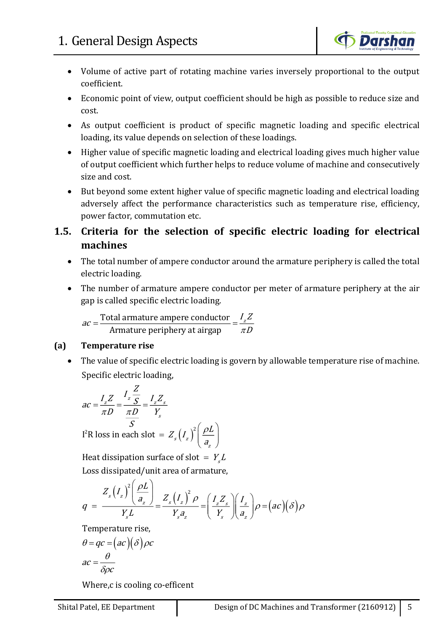

- Volume of active part of rotating machine varies inversely proportional to the output coefficient.
- Economic point of view, output coefficient should be high as possible to reduce size and cost.
- As output coefficient is product of specific magnetic loading and specific electrical loading, its value depends on selection of these loadings.
- Higher value of specific magnetic loading and electrical loading gives much higher value of output coefficient which further helps to reduce volume of machine and consecutively size and cost.
- But beyond some extent higher value of specific magnetic loading and electrical loading adversely affect the performance characteristics such as temperature rise, efficiency, power factor, commutation etc.

# **1.5. Criteria for the selection of specific electric loading for electrical machines**

- The total number of ampere conductor around the armature periphery is called the total electric loading.
- The number of armature ampere conductor per meter of armature periphery at the air gap is called specific electric loading.

$$
ac = \frac{\text{Total armature ampere conductor}}{\text{Armature periphery at airgap}} = \frac{I_z Z}{\pi D}
$$

#### **(a) Temperature rise**

 The value of specific electric loading is govern by allowable temperature rise of machine. Specific electric loading,

$$
ac = \frac{I_z Z}{\pi D} = \frac{I_z \frac{Z}{S}}{\pi D} = \frac{I_z Z_s}{Y_s}
$$

I<sup>2</sup>R loss in each slot =  $Z_s(I_z)^2$ s z z S<br>  $\int$ <sub>I</sub>ch slot =  $Z \left( I \right)^2 \left( \frac{\rho L}{L} \right)$ a  $= Z_{s}(I_{z})^{2} \left(\frac{\rho L}{\rho}\right)$  $\left(\begin{array}{c} a_{\rm z} \end{array}\right)$ 

Heat dissipation surface of slot  $= Y_{s}L$ Loss dissipated/unit area of armature,

$$
q = \frac{Z_s \left(I_z\right)^2 \left(\frac{\rho L}{a_z}\right)}{Y_s L} = \frac{Z_s \left(I_z\right)^2 \rho}{Y_s a_z} = \left(\frac{I_z Z_s}{Y_s}\right) \left(\frac{I_z}{a_z}\right) \rho = \left(ac\right) \left(\delta\right) \rho
$$

Temperature rise,

$$
\theta = qc = (ac)(\delta)\rho c
$$

$$
ac = \frac{\theta}{\delta\rho c}
$$

Where,c is cooling co-efficent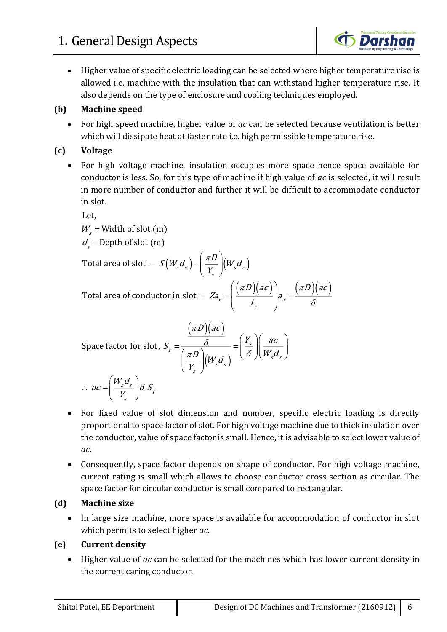

 Higher value of specific electric loading can be selected where higher temperature rise is allowed i.e. machine with the insulation that can withstand higher temperature rise. It also depends on the type of enclosure and cooling techniques employed.

### **(b) Machine speed**

 For high speed machine, higher value of *ac* can be selected because ventilation is better which will dissipate heat at faster rate i.e. high permissible temperature rise.

## **(c) Voltage**

 For high voltage machine, insulation occupies more space hence space available for conductor is less. So, for this type of machine if high value of *ac* is selected, it will result in more number of conductor and further it will be difficult to accommodate conductor in slot.

Let,

 $W_s$  = Width of slot (m)

 $d_s$  = Depth of slot (m)

Total area of slot =  $S(W_s d_s)$ = $\frac{dW}{dW}$  $\left| (W_s d_s) \right|$ s  $S(W d) = \frac{\pi D}{\mu} |W d$ Y  $(\pi D)$  $= S(W_{s}d_{s}) = \frac{\pi E}{V}$  $\left(\begin{array}{c} Y_s \end{array}\right)$ 

Total area of conductor in slot =  $Za_z = \left(\frac{(\pi D)(ac)}{L}\right) a_z = \frac{(\pi D)(ac)}{s}$ z  $D$ || ac || || ||  $\pi D$ || ac  $Za = \frac{\sqrt{2}}{a}$ I  $\pi$ D ||  $ac$  || ||  $\pi$  $\delta$  $((\pi D)(ac))$  $= Za_z = \left(\frac{(nZ)(ac)}{I_z}\right)a_z =$ 

Space factor for slot, 
$$
S_r = \frac{\left(\pi D\right)\left(ac\right)}{\left(\frac{\pi D}{Y_s}\right)\left(W_s d_s\right)} = \left(\frac{Y_s}{\delta}\right)\left(\frac{ac}{W_s d_s}\right)
$$
  
∴  $ac = \left(\frac{W_s d_s}{Y_s}\right)\delta S_r$ 

- For fixed value of slot dimension and number, specific electric loading is directly proportional to space factor of slot. For high voltage machine due to thick insulation over the conductor, value of space factor is small. Hence, it is advisable to select lower value of *ac*.
- Consequently, space factor depends on shape of conductor. For high voltage machine, current rating is small which allows to choose conductor cross section as circular. The space factor for circular conductor is small compared to rectangular.

## **(d) Machine size**

• In large size machine, more space is available for accommodation of conductor in slot which permits to select higher *ac*.

## **(e) Current density**

 Higher value of *ac* can be selected for the machines which has lower current density in the current caring conductor.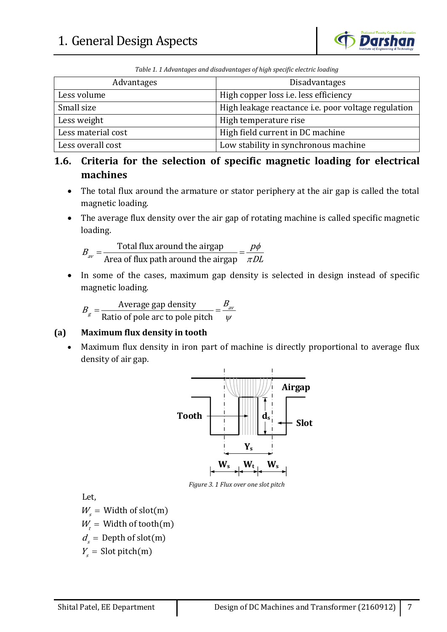

*Table 1. 1 Advantages and disadvantages of high specific electric loading*

| Advantages         | Disadvantages                                       |
|--------------------|-----------------------------------------------------|
| Less volume        | High copper loss <i>i.e.</i> less efficiency        |
| Small size         | High leakage reactance i.e. poor voltage regulation |
| Less weight        | High temperature rise                               |
| Less material cost | High field current in DC machine                    |
| Less overall cost  | Low stability in synchronous machine                |

# **1.6. Criteria for the selection of specific magnetic loading for electrical machines**

- The total flux around the armature or stator periphery at the air gap is called the total magnetic loading.
- The average flux density over the air gap of rotating machine is called specific magnetic loading.

$$
B_{av} = \frac{\text{Total flux around the airgap}}{\text{Area of flux path around the airgap}} = \frac{p\phi}{\pi DL}
$$

• In some of the cases, maximum gap density is selected in design instead of specific magnetic loading.

Average gap density Ratio of pole arc to pole pitch  $B_{\scriptscriptstyle av}^{\phantom{\dagger}}$  $B_{_{g}}$  $\psi$ 

#### **(a) Maximum flux density in tooth**

 Maximum flux density in iron part of machine is directly proportional to average flux density of air gap.



*Figure 3. 1 Flux over one slot pitch*

Let,

 $W_s$  = Width of slot(m)

- $W_t$  = Width of tooth(m)
- $d_s$  = Depth of slot(m)
- $Y_s$  = Slot pitch(m)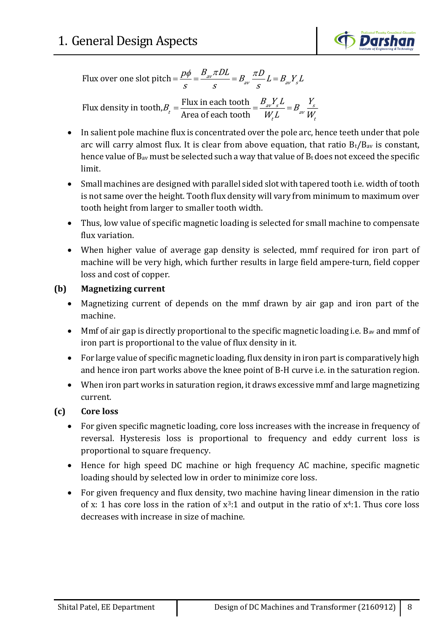

Flux over one slot pitch  $=\frac{PY}{2}=\frac{AV}{2}=\frac{B}{2}aV\frac{V}{2}=E_{av}Y_s$  $\frac{p\phi}{p} = \frac{B_{av}\pi DL}{p} = B \frac{\pi D}{L} = B Y L$ s s s  $=\frac{p\phi}{\phi}=\frac{B_{av}\pi DL}{\phi}=B\frac{\pi D}{\phi}L=$ 

Flux density in tooth, $B_t = \frac{\text{Flux in each tooth}}{\text{Area of each tooth}}$  $\frac{a}{t} = \frac{a}{\Delta x} = \frac{a}{\Delta y} = \frac{a}{\Delta x} = \frac{a}{\Delta y} = \frac{a}{\Delta y}$ t t B Y LY  $B = \frac{av - b}{2} = \frac{av - s}{2} = B$  $=\frac{1}{\text{Area of each tooth}} = \frac{1}{W L} = D_{av} \frac{1}{W}$ 

- In salient pole machine flux is concentrated over the pole arc, hence teeth under that pole arc will carry almost flux. It is clear from above equation, that ratio  $B_t/B_{av}$  is constant, hence value of  $B_{av}$  must be selected such a way that value of  $B_t$  does not exceed the specific limit.
- Small machines are designed with parallel sided slot with tapered tooth i.e. width of tooth is not same over the height. Tooth flux density will vary from minimum to maximum over tooth height from larger to smaller tooth width.
- Thus, low value of specific magnetic loading is selected for small machine to compensate flux variation.
- When higher value of average gap density is selected, mmf required for iron part of machine will be very high, which further results in large field ampere-turn, field copper loss and cost of copper.

#### **(b) Magnetizing current**

- Magnetizing current of depends on the mmf drawn by air gap and iron part of the machine.
- Mmf of air gap is directly proportional to the specific magnetic loading i.e.  $B_{av}$  and mmf of iron part is proportional to the value of flux density in it.
- For large value of specific magnetic loading, flux density in iron part is comparatively high and hence iron part works above the knee point of B-H curve i.e. in the saturation region.
- When iron part works in saturation region, it draws excessive mmf and large magnetizing current.

### **(c) Core loss**

- For given specific magnetic loading, core loss increases with the increase in frequency of reversal. Hysteresis loss is proportional to frequency and eddy current loss is proportional to square frequency.
- Hence for high speed DC machine or high frequency AC machine, specific magnetic loading should by selected low in order to minimize core loss.
- For given frequency and flux density, two machine having linear dimension in the ratio of x: 1 has core loss in the ration of  $x^3$ :1 and output in the ratio of  $x^4$ :1. Thus core loss decreases with increase in size of machine.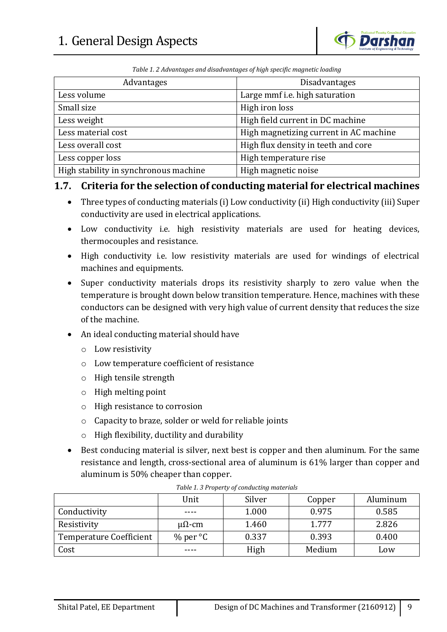

| Table 1. 2 Advantages and disadvantages of high specific magnetic loading |  |  |  |
|---------------------------------------------------------------------------|--|--|--|
|                                                                           |  |  |  |

| Advantages                            | <b>Disadvantages</b>                   |  |
|---------------------------------------|----------------------------------------|--|
| Less volume                           | Large mmf i.e. high saturation         |  |
| Small size                            | High iron loss                         |  |
| Less weight                           | High field current in DC machine       |  |
| Less material cost                    | High magnetizing current in AC machine |  |
| Less overall cost                     | High flux density in teeth and core    |  |
| Less copper loss                      | High temperature rise                  |  |
| High stability in synchronous machine | High magnetic noise                    |  |

#### **1.7. Criteria for the selection of conducting material for electrical machines**

- Three types of conducting materials (i) Low conductivity (ii) High conductivity (iii) Super conductivity are used in electrical applications.
- Low conductivity i.e. high resistivity materials are used for heating devices, thermocouples and resistance.
- High conductivity i.e. low resistivity materials are used for windings of electrical machines and equipments.
- Super conductivity materials drops its resistivity sharply to zero value when the temperature is brought down below transition temperature. Hence, machines with these conductors can be designed with very high value of current density that reduces the size of the machine.
- An ideal conducting material should have
	- o Low resistivity
	- o Low temperature coefficient of resistance
	- o High tensile strength
	- o High melting point
	- o High resistance to corrosion
	- o Capacity to braze, solder or weld for reliable joints
	- o High flexibility, ductility and durability
- Best conducing material is silver, next best is copper and then aluminum. For the same resistance and length, cross-sectional area of aluminum is 61% larger than copper and aluminum is 50% cheaper than copper.

|                                | Unit            | Silver | Copper | Aluminum |
|--------------------------------|-----------------|--------|--------|----------|
| Conductivity                   | ----            | 1.000  | 0.975  | 0.585    |
| Resistivity                    | $\mu\Omega$ -cm | 1.460  | 1.777  | 2.826    |
| <b>Temperature Coefficient</b> | $%$ per $°C$    | 0.337  | 0.393  | 0.400    |
| Cost                           | ----            | High   | Medium | Low      |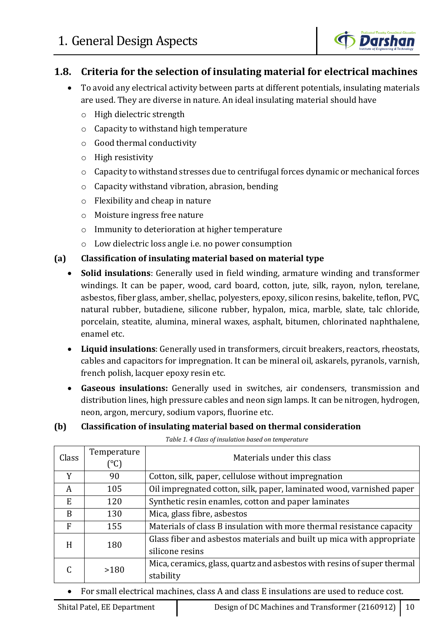

## **1.8. Criteria for the selection of insulating material for electrical machines**

- To avoid any electrical activity between parts at different potentials, insulating materials are used. They are diverse in nature. An ideal insulating material should have
	- o High dielectric strength
	- o Capacity to withstand high temperature
	- o Good thermal conductivity
	- o High resistivity
	- o Capacity to withstand stresses due to centrifugal forces dynamic or mechanical forces
	- o Capacity withstand vibration, abrasion, bending
	- o Flexibility and cheap in nature
	- o Moisture ingress free nature
	- o Immunity to deterioration at higher temperature
	- o Low dielectric loss angle i.e. no power consumption

#### **(a) Classification of insulating material based on material type**

- **Solid insulations**: Generally used in field winding, armature winding and transformer windings. It can be paper, wood, card board, cotton, jute, silk, rayon, nylon, terelane, asbestos, fiber glass, amber, shellac, polyesters, epoxy, silicon resins, bakelite, teflon, PVC, natural rubber, butadiene, silicone rubber, hypalon, mica, marble, slate, talc chloride, porcelain, steatite, alumina, mineral waxes, asphalt, bitumen, chlorinated naphthalene, enamel etc.
- **Liquid insulations**: Generally used in transformers, circuit breakers, reactors, rheostats, cables and capacitors for impregnation. It can be mineral oil, askarels, pyranols, varnish, french polish, lacquer epoxy resin etc.
- **Gaseous insulations:** Generally used in switches, air condensers, transmission and distribution lines, high pressure cables and neon sign lamps. It can be nitrogen, hydrogen, neon, argon, mercury, sodium vapors, fluorine etc.

### **(b) Classification of insulating material based on thermal consideration**

| Class        | Temperature                                                             | Materials under this class                                            |
|--------------|-------------------------------------------------------------------------|-----------------------------------------------------------------------|
|              | (°C)                                                                    |                                                                       |
| Y            | 90                                                                      | Cotton, silk, paper, cellulose without impregnation                   |
| A            | 105                                                                     | Oil impregnated cotton, silk, paper, laminated wood, varnished paper  |
| E            | 120                                                                     | Synthetic resin enamles, cotton and paper laminates                   |
| B            | 130                                                                     | Mica, glass fibre, asbestos                                           |
| $\mathbf{F}$ | 155                                                                     | Materials of class B insulation with more thermal resistance capacity |
| H<br>180     | Glass fiber and asbestos materials and built up mica with appropriate   |                                                                       |
|              | silicone resins                                                         |                                                                       |
| >180         | Mica, ceramics, glass, quartz and asbestos with resins of super thermal |                                                                       |
|              | stability                                                               |                                                                       |

*Table 1. 4 Class of insulation based on temperature*

For small electrical machines, class A and class E insulations are used to reduce cost.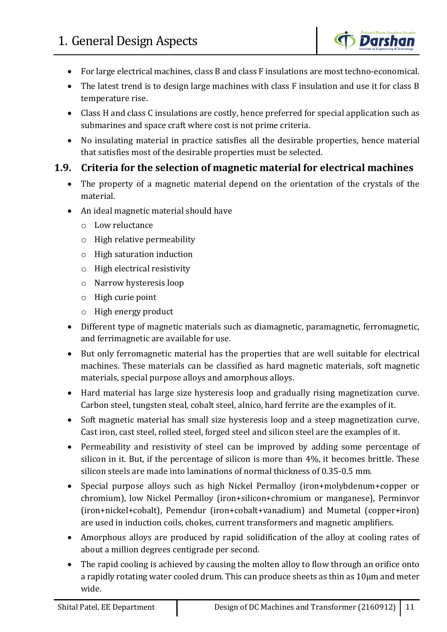

- For large electrical machines, class B and class F insulations are most techno-economical.
- The latest trend is to design large machines with class F insulation and use it for class B temperature rise.
- Class H and class C insulations are costly, hence preferred for special application such as submarines and space craft where cost is not prime criteria.
- No insulating material in practice satisfies all the desirable properties, hence material that satisfies most of the desirable properties must be selected.

# **1.9. Criteria for the selection of magnetic material for electrical machines**

- The property of a magnetic material depend on the orientation of the crystals of the material.
- An ideal magnetic material should have
	- o Low reluctance
	- o High relative permeability
	- o High saturation induction
	- o High electrical resistivity
	- o Narrow hysteresis loop
	- o High curie point
	- o High energy product
- Different type of magnetic materials such as diamagnetic, paramagnetic, ferromagnetic, and ferrimagnetic are available for use.
- But only ferromagnetic material has the properties that are well suitable for electrical machines. These materials can be classified as hard magnetic materials, soft magnetic materials, special purpose alloys and amorphous alloys.
- Hard material has large size hysteresis loop and gradually rising magnetization curve. Carbon steel, tungsten steal, cobalt steel, alnico, hard ferrite are the examples of it.
- Soft magnetic material has small size hysteresis loop and a steep magnetization curve. Cast iron, cast steel, rolled steel, forged steel and silicon steel are the examples of it.
- Permeability and resistivity of steel can be improved by adding some percentage of silicon in it. But, if the percentage of silicon is more than 4%, it becomes brittle. These silicon steels are made into laminations of normal thickness of 0.35-0.5 mm.
- Special purpose alloys such as high Nickel Permalloy (iron+molybdenum+copper or chromium), low Nickel Permalloy (iron+silicon+chromium or manganese), Perminvor (iron+nickel+cobalt), Pemendur (iron+cobalt+vanadium) and Mumetal (copper+iron) are used in induction coils, chokes, current transformers and magnetic amplifiers.
- Amorphous alloys are produced by rapid solidification of the alloy at cooling rates of about a million degrees centigrade per second.
- The rapid cooling is achieved by causing the molten alloy to flow through an orifice onto a rapidly rotating water cooled drum. This can produce sheets as thin as 10μm and meter wide.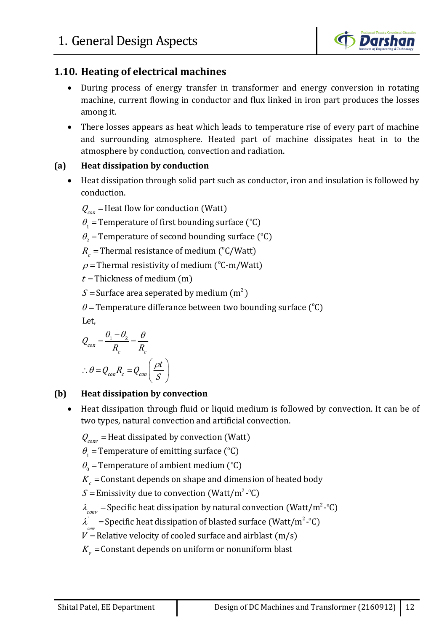

## **1.10. Heating of electrical machines**

- During process of energy transfer in transformer and energy conversion in rotating machine, current flowing in conductor and flux linked in iron part produces the losses among it.
- There losses appears as heat which leads to temperature rise of every part of machine and surrounding atmosphere. Heated part of machine dissipates heat in to the atmosphere by conduction, convection and radiation.

#### **(a) Heat dissipation by conduction**

- Heat dissipation through solid part such as conductor, iron and insulation is followed by conduction.
	- $Q_{con}$  = Heat flow for conduction (Watt)
	- o  $\theta_1$  = Temperature of first bounding surface (°C)
	- o  $\theta_{2}$  = Temperature of second bounding surface (°C)
	- $R_{c}^{\phantom{\dag}}$  = Thermal resistance of medium (°C/Watt)
	- $\rho$  = Thermal resistivity of medium (°C-m/Watt)

 $t =$ Thickness of medium (m)

 $S$  = Surface area seperated by medium (m $^2)$ 

 $\theta$  = Temperature differance between two bounding surface (°C)

Let,

$$
Q_{con} = \frac{\theta_1 - \theta_2}{R_c} = \frac{\theta}{R_c}
$$
  
 
$$
\therefore \theta = Q_{con} R_c = Q_{con} \left(\frac{\rho t}{S}\right)
$$

#### **(b) Heat dissipation by convection**

 Heat dissipation through fluid or liquid medium is followed by convection. It can be of two types, natural convection and artificial convection.

 $Q_{conv}$  = Heat dissipated by convection (Watt)

o  $\theta_1$  = Temperature of emitting surface (°C)

 $\theta_{\text{o}}$  = Temperature of ambient medium (°C)

 $K_{c}^{\phantom{\dag}}$  = Constant depends on shape and dimension of heated body

 $\mathcal{S} =$  Emissivity due to convection (Watt/m $^2$ -°C)

 $\lambda_{conv}$  = Specific heat dissipation by natural convection (Watt/m<sup>2</sup>-°C)

 $\lambda_{\text{conv}}^{'} = \text{Specific heat dissipation of blasted surface (Watt/m}^2 - \text{°C)}$ 

 $V$  = Relative velocity of cooled surface and airblast (m/s)

 $K_{_{\rm \scriptscriptstyle V}}$  = Constant depends on uniform or nonuniform blast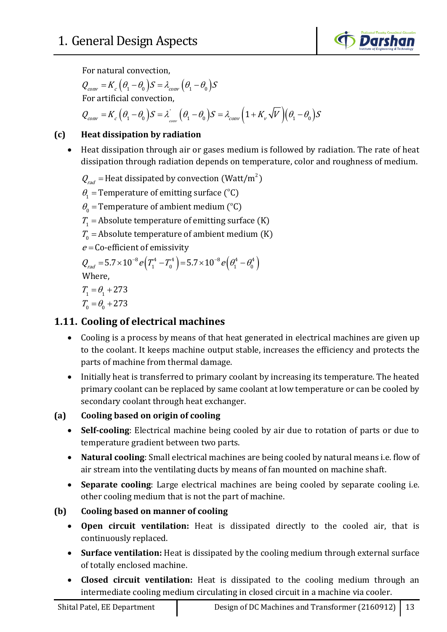

For natural convection,

$$
Q_{conv} = K_c (\theta_1 - \theta_0) S = \lambda_{conv} (\theta_1 - \theta_0) S
$$
  
For artificial convection,  

$$
Q_{conv} = K_c (\theta_1 - \theta_0) S = \lambda_{conv} \left( \theta_1 - \theta_0 \right) S = \lambda_{conv} \left( 1 + K_v \sqrt{V} \right) (\theta_1 - \theta_0) S
$$

### **(c) Heat dissipation by radiation**

 Heat dissipation through air or gases medium is followed by radiation. The rate of heat dissipation through radiation depends on temperature, color and roughness of medium.

 $Q_{rad}$  = Heat dissipated by convection (Watt/m<sup>2</sup>)

o  $\theta_1$  = Temperature of emitting surface (°C)

o  $\theta_{\text{o}}$  = Temperature of ambient medium (°C)

 $T_1$  = Absolute temperature of emitting surface (K)

 $T_0$  = Absolute temperature of ambient medium (K)

 $e$  = Co-efficient of emissivity

$$
Q_{rad} = 5.7 \times 10^{-8} e \left( T_1^4 - T_0^4 \right) = 5.7 \times 10^{-8} e \left( \theta_1^4 - \theta_0^4 \right)
$$
  
Where,

$$
T_1 = \theta_1 + 273
$$
  

$$
T_0 = \theta_0 + 273
$$

## **1.11. Cooling of electrical machines**

- Cooling is a process by means of that heat generated in electrical machines are given up to the coolant. It keeps machine output stable, increases the efficiency and protects the parts of machine from thermal damage.
- Initially heat is transferred to primary coolant by increasing its temperature. The heated primary coolant can be replaced by same coolant at low temperature or can be cooled by secondary coolant through heat exchanger.

### **(a) Cooling based on origin of cooling**

- **Self-cooling**: Electrical machine being cooled by air due to rotation of parts or due to temperature gradient between two parts.
- **Natural cooling**: Small electrical machines are being cooled by natural means i.e. flow of air stream into the ventilating ducts by means of fan mounted on machine shaft.
- **Separate cooling**: Large electrical machines are being cooled by separate cooling i.e. other cooling medium that is not the part of machine.

### **(b) Cooling based on manner of cooling**

- **Open circuit ventilation:** Heat is dissipated directly to the cooled air, that is continuously replaced.
- **Surface ventilation:** Heat is dissipated by the cooling medium through external surface of totally enclosed machine.
- **Closed circuit ventilation:** Heat is dissipated to the cooling medium through an intermediate cooling medium circulating in closed circuit in a machine via cooler.